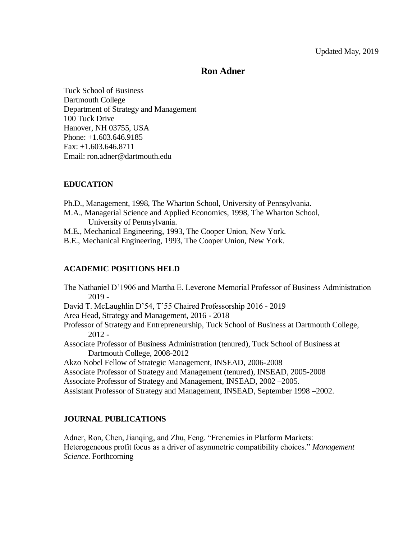# **Ron Adner**

Tuck School of Business Dartmouth College Department of Strategy and Management 100 Tuck Drive Hanover, NH 03755, USA Phone: +1.603.646.9185 Fax: +1.603.646.8711 Email: ron.adner@dartmouth.edu

# **EDUCATION**

Ph.D., Management, 1998, The Wharton School, University of Pennsylvania.

M.A., Managerial Science and Applied Economics, 1998, The Wharton School, University of Pennsylvania.

M.E., Mechanical Engineering, 1993, The Cooper Union, New York.

B.E., Mechanical Engineering, 1993, The Cooper Union, New York.

# **ACADEMIC POSITIONS HELD**

The Nathaniel D'1906 and Martha E. Leverone Memorial Professor of Business Administration 2019 - David T. McLaughlin D'54, T'55 Chaired Professorship 2016 - 2019 Area Head, Strategy and Management, 2016 - 2018 Professor of Strategy and Entrepreneurship, Tuck School of Business at Dartmouth College, 2012 - Associate Professor of Business Administration (tenured), Tuck School of Business at Dartmouth College, 2008-2012 Akzo Nobel Fellow of Strategic Management, INSEAD, 2006-2008 Associate Professor of Strategy and Management (tenured), INSEAD, 2005-2008 Associate Professor of Strategy and Management, INSEAD, 2002 –2005. Assistant Professor of Strategy and Management, INSEAD, September 1998 –2002.

# **JOURNAL PUBLICATIONS**

Adner, Ron, Chen, Jianqing, and Zhu, Feng. "Frenemies in Platform Markets: Heterogeneous profit focus as a driver of asymmetric compatibility choices." *Management Science*. Forthcoming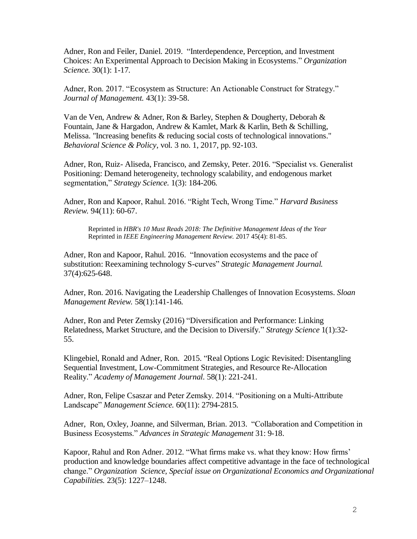Adner, Ron and Feiler, Daniel. 2019. "Interdependence, Perception, and Investment Choices: An Experimental Approach to Decision Making in Ecosystems." *Organization Science.* 30(1): 1-17.

Adner, Ron. 2017. "Ecosystem as Structure: An Actionable Construct for Strategy." *Journal of Management.* 43(1): 39-58.

Van de Ven, Andrew & Adner, Ron & Barley, Stephen & Dougherty, Deborah & Fountain, Jane & Hargadon, Andrew & Kamlet, Mark & Karlin, Beth & Schilling, Melissa. "Increasing benefits & reducing social costs of technological innovations." *Behavioral Science & Policy*, vol. 3 no. 1, 2017, pp. 92-103.

Adner, Ron, Ruiz- Aliseda, Francisco, and Zemsky, Peter. 2016. "Specialist vs. Generalist Positioning: Demand heterogeneity, technology scalability, and endogenous market segmentation," *Strategy Science.* 1(3): 184-206.

Adner, Ron and Kapoor, Rahul. 2016. "Right Tech, Wrong Time." *Harvard Business Review.* 94(11): 60-67.

Reprinted in *HBR's 10 Must Reads 2018: The Definitive Management Ideas of the Year* Reprinted in *IEEE Engineering Management Review.* 2017 45(4): 81-85.

Adner, Ron and Kapoor, Rahul. 2016. "Innovation ecosystems and the pace of substitution: Reexamining technology S-curves" *Strategic Management Journal.*  37(4):625-648.

Adner, Ron. 2016. Navigating the Leadership Challenges of Innovation Ecosystems. *Sloan Management Review.* 58(1):141-146.

Adner, Ron and Peter Zemsky (2016) "Diversification and Performance: Linking Relatedness, Market Structure, and the Decision to Diversify." *Strategy Science* 1(1):32- 55.

Klingebiel, Ronald and Adner, Ron. 2015. "Real Options Logic Revisited: Disentangling Sequential Investment, Low-Commitment Strategies, and Resource Re-Allocation Reality." *Academy of Management Journal.* 58(1): 221-241.

Adner, Ron, Felipe Csaszar and Peter Zemsky. 2014. "Positioning on a Multi-Attribute Landscape" *Management Science.* 60(11): 2794-2815.

Adner, Ron, Oxley, Joanne, and Silverman, Brian. 2013. "Collaboration and Competition in Business Ecosystems." *Advances in Strategic Management* 31: 9-18.

Kapoor, Rahul and Ron Adner. 2012. "What firms make vs. what they know: How firms' production and knowledge boundaries affect competitive advantage in the face of technological change." *Organization Science, Special issue on Organizational Economics and Organizational Capabilities.* 23(5): 1227–1248.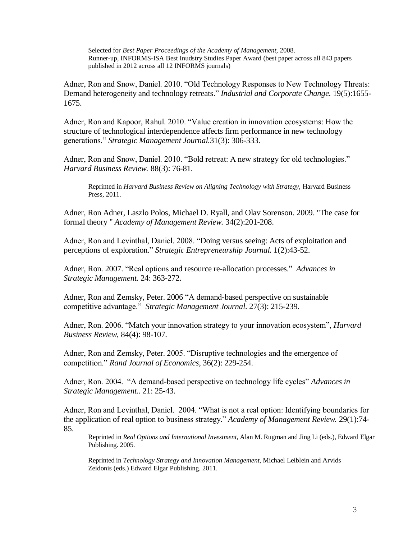Selected for *Best Paper Proceedings of the Academy of Management,* 2008. Runner-up, INFORMS-ISA Best Inudstry Studies Paper Award (best paper across all 843 papers published in 2012 across all 12 INFORMS journals)

Adner, Ron and Snow, Daniel. 2010. "Old Technology Responses to New Technology Threats: Demand heterogeneity and technology retreats." *Industrial and Corporate Change*. 19(5):1655- 1675.

Adner, Ron and Kapoor, Rahul. 2010. "Value creation in innovation ecosystems: How the structure of technological interdependence affects firm performance in new technology generations." *Strategic Management Journal.*31(3): 306-333.

Adner, Ron and Snow, Daniel. 2010. "Bold retreat: A new strategy for old technologies." *Harvard Business Review.* 88(3): 76-81.

Reprinted in *Harvard Business Review on Aligning Technology with Strategy,* Harvard Business Press, 2011.

Adner, Ron Adner, Laszlo Polos, Michael D. Ryall, and Olav Sorenson. 2009. "The case for formal theory " *Academy of Management Review.* 34(2):201-208.

Adner, Ron and Levinthal, Daniel. 2008. "Doing versus seeing: Acts of exploitation and perceptions of exploration." *Strategic Entrepreneurship Journal.* 1(2):43-52.

Adner, Ron. 2007. "Real options and resource re-allocation processes." *Advances in Strategic Management.* 24: 363-272.

Adner, Ron and Zemsky, Peter. 2006 "A demand-based perspective on sustainable competitive advantage." *Strategic Management Journal.* 27(3): 215-239.

Adner, Ron. 2006. "Match your innovation strategy to your innovation ecosystem", *Harvard Business Review,* 84(4): 98-107.

Adner, Ron and Zemsky, Peter. 2005. "Disruptive technologies and the emergence of competition." *Rand Journal of Economics*, 36(2): 229-254.

Adner, Ron. 2004. "A demand-based perspective on technology life cycles" *Advances in Strategic Management.*. 21: 25-43.

Adner, Ron and Levinthal, Daniel. 2004. "What is not a real option: Identifying boundaries for the application of real option to business strategy." *Academy of Management Review.* 29(1):74- 85.

Reprinted in *Real Options and International Investment*, Alan M. Rugman and Jing Li (eds.), Edward Elgar Publishing. 2005.

Reprinted in *Technology Strategy and Innovation Management,* Michael Leiblein and Arvids Zeidonis (eds.) Edward Elgar Publishing. 2011.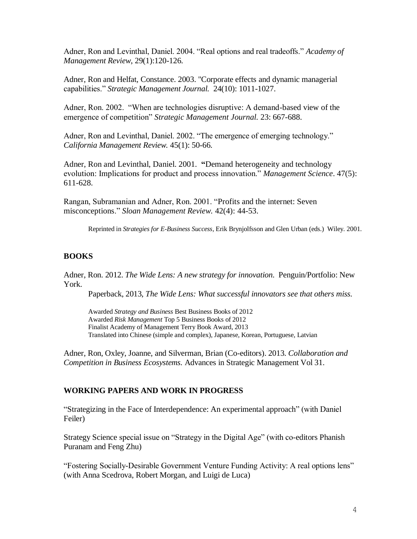Adner, Ron and Levinthal, Daniel. 2004. "Real options and real tradeoffs." *Academy of Management Review*, 29(1):120-126.

Adner, Ron and Helfat, Constance. 2003. "Corporate effects and dynamic managerial capabilities." *Strategic Management Journal.* 24(10): 1011-1027.

Adner, Ron. 2002. "When are technologies disruptive: A demand-based view of the emergence of competition" *Strategic Management Journal.* 23: 667-688.

Adner, Ron and Levinthal, Daniel. 2002. "The emergence of emerging technology." *California Management Review.* 45(1): 50-66.

Adner, Ron and Levinthal, Daniel. 2001. **"**Demand heterogeneity and technology evolution: Implications for product and process innovation." *Management Science*. 47(5): 611-628.

Rangan, Subramanian and Adner, Ron. 2001. "Profits and the internet: Seven misconceptions." *Sloan Management Review.* 42(4): 44-53.

Reprinted in *Strategies for E-Business Success,* Erik Brynjolfsson and Glen Urban (eds.)Wiley. 2001.

# **BOOKS**

Adner, Ron. 2012. *The Wide Lens: A new strategy for innovation.* Penguin/Portfolio: New York.

Paperback, 2013, *The Wide Lens: What successful innovators see that others miss.*

Awarded *Strategy and Business* Best Business Books of 2012 Awarded *Risk Management* Top 5 Business Books of 2012 Finalist Academy of Management Terry Book Award, 2013 Translated into Chinese (simple and complex), Japanese, Korean, Portuguese, Latvian

Adner, Ron, Oxley, Joanne, and Silverman, Brian (Co-editors). 2013. *Collaboration and Competition in Business Ecosystems.* Advances in Strategic Management Vol 31.

#### **WORKING PAPERS AND WORK IN PROGRESS**

"Strategizing in the Face of Interdependence: An experimental approach" (with Daniel Feiler)

Strategy Science special issue on "Strategy in the Digital Age" (with co-editors Phanish Puranam and Feng Zhu)

"Fostering Socially-Desirable Government Venture Funding Activity: A real options lens" (with Anna Scedrova, Robert Morgan, and Luigi de Luca)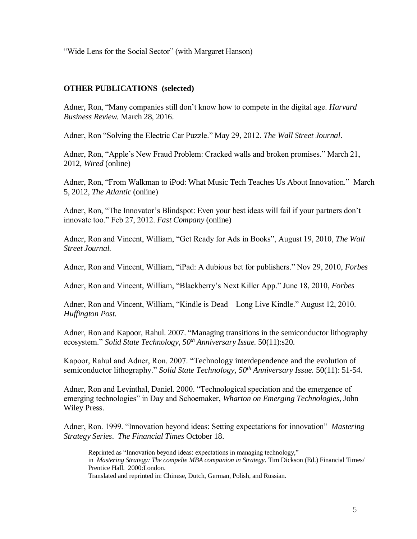"Wide Lens for the Social Sector" (with Margaret Hanson)

# **OTHER PUBLICATIONS (selected)**

Adner, Ron, "Many companies still don't know how to compete in the digital age. *Harvard Business Review.* March 28, 2016.

Adner, Ron "Solving the Electric Car Puzzle." May 29, 2012. *The Wall Street Journal*.

Adner, Ron, "Apple's New Fraud Problem: Cracked walls and broken promises." March 21, 2012, *Wired* (online)

Adner, Ron, "From Walkman to iPod: What Music Tech Teaches Us About Innovation." March 5, 2012, *The Atlantic* (online)

Adner, Ron, "The Innovator's Blindspot: Even your best ideas will fail if your partners don't innovate too." Feb 27, 2012. *Fast Company* (online)

Adner, Ron and Vincent, William, "Get Ready for Ads in Books", August 19, 2010, *The Wall Street Journal.*

Adner, Ron and Vincent, William, "iPad: A dubious bet for publishers." Nov 29, 2010, *Forbes*

Adner, Ron and Vincent, William, "Blackberry's Next Killer App." June 18, 2010, *Forbes*

Adner, Ron and Vincent, William, "Kindle is Dead – Long Live Kindle." August 12, 2010. *Huffington Post.*

Adner, Ron and Kapoor, Rahul. 2007. "Managing transitions in the semiconductor lithography ecosystem." *Solid State Technology, 50th Anniversary Issue.* 50(11):s20.

Kapoor, Rahul and Adner, Ron. 2007. "Technology interdependence and the evolution of semiconductor lithography." *Solid State Technology, 50th Anniversary Issue.* 50(11): 51-54.

Adner, Ron and Levinthal, Daniel. 2000. "Technological speciation and the emergence of emerging technologies" in Day and Schoemaker, *Wharton on Emerging Technologies,* John Wiley Press.

Adner, Ron. 1999. "Innovation beyond ideas: Setting expectations for innovation" *Mastering Strategy Series*. *The Financial Times* October 18.

Reprinted as "Innovation beyond ideas: expectations in managing technology," in *Mastering Strategy: The compelte MBA companion in Strategy*. Tim Dickson (Ed.) Financial Times/ Prentice Hall. 2000:London.

Translated and reprinted in: Chinese, Dutch, German, Polish, and Russian.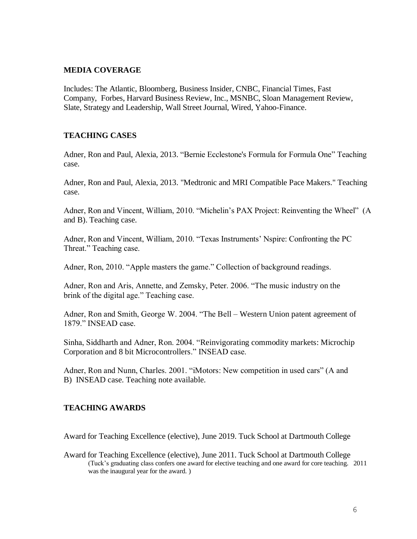## **MEDIA COVERAGE**

Includes: The Atlantic, Bloomberg, Business Insider, CNBC, Financial Times, Fast Company, Forbes, Harvard Business Review, Inc., MSNBC, Sloan Management Review, Slate, Strategy and Leadership, Wall Street Journal, Wired, Yahoo-Finance.

# **TEACHING CASES**

Adner, Ron and Paul, Alexia, 2013. "Bernie Ecclestone's Formula for Formula One" Teaching case.

Adner, Ron and Paul, Alexia, 2013. "Medtronic and MRI Compatible Pace Makers." Teaching case.

Adner, Ron and Vincent, William, 2010. "Michelin's PAX Project: Reinventing the Wheel" (A and B). Teaching case.

Adner, Ron and Vincent, William, 2010. "Texas Instruments' Nspire: Confronting the PC Threat." Teaching case.

Adner, Ron, 2010. "Apple masters the game." Collection of background readings.

Adner, Ron and Aris, Annette, and Zemsky, Peter. 2006. "The music industry on the brink of the digital age." Teaching case.

Adner, Ron and Smith, George W. 2004. "The Bell – Western Union patent agreement of 1879." INSEAD case.

Sinha, Siddharth and Adner, Ron. 2004. "Reinvigorating commodity markets: Microchip Corporation and 8 bit Microcontrollers." INSEAD case.

Adner, Ron and Nunn, Charles. 2001. "iMotors: New competition in used cars" (A and B) INSEAD case. Teaching note available.

# **TEACHING AWARDS**

Award for Teaching Excellence (elective), June 2019. Tuck School at Dartmouth College

Award for Teaching Excellence (elective), June 2011. Tuck School at Dartmouth College (Tuck's graduating class confers one award for elective teaching and one award for core teaching. 2011 was the inaugural year for the award. )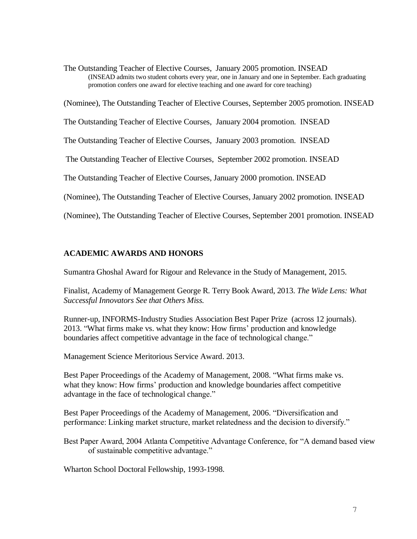The Outstanding Teacher of Elective Courses, January 2005 promotion. INSEAD (INSEAD admits two student cohorts every year, one in January and one in September. Each graduating promotion confers one award for elective teaching and one award for core teaching)

(Nominee), The Outstanding Teacher of Elective Courses, September 2005 promotion. INSEAD

The Outstanding Teacher of Elective Courses, January 2004 promotion. INSEAD

The Outstanding Teacher of Elective Courses, January 2003 promotion. INSEAD

The Outstanding Teacher of Elective Courses, September 2002 promotion. INSEAD

The Outstanding Teacher of Elective Courses, January 2000 promotion. INSEAD

(Nominee), The Outstanding Teacher of Elective Courses, January 2002 promotion. INSEAD

(Nominee), The Outstanding Teacher of Elective Courses, September 2001 promotion. INSEAD

# **ACADEMIC AWARDS AND HONORS**

Sumantra Ghoshal Award for Rigour and Relevance in the Study of Management, 2015.

Finalist, Academy of Management George R. Terry Book Award, 2013. *The Wide Lens: What Successful Innovators See that Others Miss.*

Runner-up, INFORMS-Industry Studies Association Best Paper Prize (across 12 journals). 2013. "What firms make vs. what they know: How firms' production and knowledge boundaries affect competitive advantage in the face of technological change."

Management Science Meritorious Service Award. 2013.

Best Paper Proceedings of the Academy of Management, 2008. "What firms make vs. what they know: How firms' production and knowledge boundaries affect competitive advantage in the face of technological change."

Best Paper Proceedings of the Academy of Management, 2006. "Diversification and performance: Linking market structure, market relatedness and the decision to diversify."

Best Paper Award, 2004 Atlanta Competitive Advantage Conference, for "A demand based view of sustainable competitive advantage."

Wharton School Doctoral Fellowship, 1993-1998.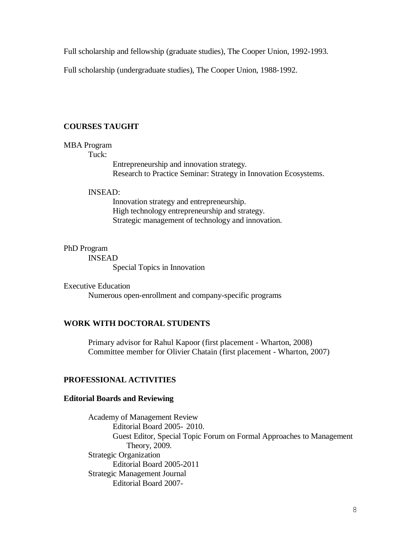Full scholarship and fellowship (graduate studies), The Cooper Union, 1992-1993.

Full scholarship (undergraduate studies), The Cooper Union, 1988-1992.

### **COURSES TAUGHT**

#### MBA Program

#### Tuck:

Entrepreneurship and innovation strategy. Research to Practice Seminar: Strategy in Innovation Ecosystems.

## INSEAD:

Innovation strategy and entrepreneurship. High technology entrepreneurship and strategy. Strategic management of technology and innovation.

## PhD Program

INSEAD

Special Topics in Innovation

Executive Education Numerous open-enrollment and company-specific programs

# **WORK WITH DOCTORAL STUDENTS**

Primary advisor for Rahul Kapoor (first placement - Wharton, 2008) Committee member for Olivier Chatain (first placement - Wharton, 2007)

### **PROFESSIONAL ACTIVITIES**

### **Editorial Boards and Reviewing**

Academy of Management Review Editorial Board 2005- 2010. Guest Editor, Special Topic Forum on Formal Approaches to Management Theory, 2009. Strategic Organization Editorial Board 2005-2011 Strategic Management Journal Editorial Board 2007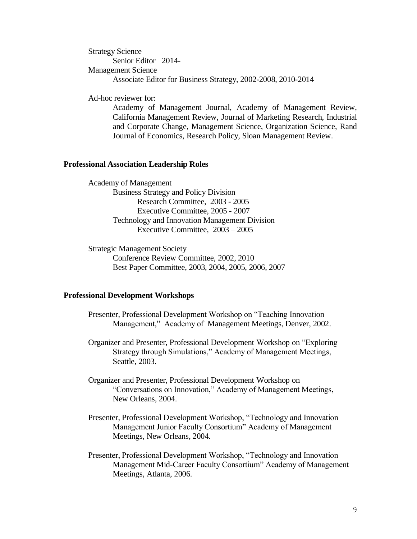Strategy Science Senior Editor 2014- Management Science Associate Editor for Business Strategy, 2002-2008, 2010-2014

Ad-hoc reviewer for:

Academy of Management Journal, Academy of Management Review, California Management Review, Journal of Marketing Research, Industrial and Corporate Change, Management Science, Organization Science, Rand Journal of Economics, Research Policy, Sloan Management Review.

#### **Professional Association Leadership Roles**

Academy of Management Business Strategy and Policy Division Research Committee, 2003 - 2005 Executive Committee, 2005 - 2007 Technology and Innovation Management Division Executive Committee, 2003 – 2005

Strategic Management Society Conference Review Committee, 2002, 2010 Best Paper Committee, 2003, 2004, 2005, 2006, 2007

#### **Professional Development Workshops**

- Presenter, Professional Development Workshop on "Teaching Innovation Management," Academy of Management Meetings, Denver, 2002.
- Organizer and Presenter, Professional Development Workshop on "Exploring Strategy through Simulations," Academy of Management Meetings, Seattle, 2003.
- Organizer and Presenter, Professional Development Workshop on "Conversations on Innovation," Academy of Management Meetings, New Orleans, 2004.
- Presenter, Professional Development Workshop, "Technology and Innovation Management Junior Faculty Consortium" Academy of Management Meetings, New Orleans, 2004.
- Presenter, Professional Development Workshop, "Technology and Innovation Management Mid-Career Faculty Consortium" Academy of Management Meetings, Atlanta, 2006.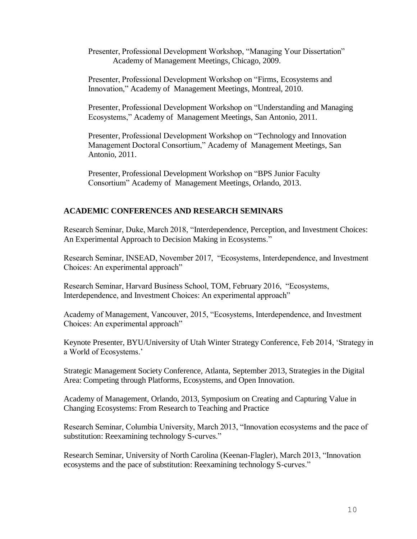Presenter, Professional Development Workshop, "Managing Your Dissertation" Academy of Management Meetings, Chicago, 2009.

Presenter, Professional Development Workshop on "Firms, Ecosystems and Innovation," Academy of Management Meetings, Montreal, 2010.

Presenter, Professional Development Workshop on "Understanding and Managing Ecosystems," Academy of Management Meetings, San Antonio, 2011.

Presenter, Professional Development Workshop on "Technology and Innovation Management Doctoral Consortium," Academy of Management Meetings, San Antonio, 2011.

Presenter, Professional Development Workshop on "BPS Junior Faculty Consortium" Academy of Management Meetings, Orlando, 2013.

# **ACADEMIC CONFERENCES AND RESEARCH SEMINARS**

Research Seminar, Duke, March 2018, "Interdependence, Perception, and Investment Choices: An Experimental Approach to Decision Making in Ecosystems."

Research Seminar, INSEAD, November 2017, "Ecosystems, Interdependence, and Investment Choices: An experimental approach"

Research Seminar, Harvard Business School, TOM, February 2016, "Ecosystems, Interdependence, and Investment Choices: An experimental approach"

Academy of Management, Vancouver, 2015, "Ecosystems, Interdependence, and Investment Choices: An experimental approach"

Keynote Presenter, BYU/University of Utah Winter Strategy Conference, Feb 2014, 'Strategy in a World of Ecosystems.'

Strategic Management Society Conference, Atlanta, September 2013, Strategies in the Digital Area: Competing through Platforms, Ecosystems, and Open Innovation.

Academy of Management, Orlando, 2013, Symposium on Creating and Capturing Value in Changing Ecosystems: From Research to Teaching and Practice

Research Seminar, Columbia University, March 2013, "Innovation ecosystems and the pace of substitution: Reexamining technology S-curves."

Research Seminar, University of North Carolina (Keenan-Flagler), March 2013, "Innovation ecosystems and the pace of substitution: Reexamining technology S-curves."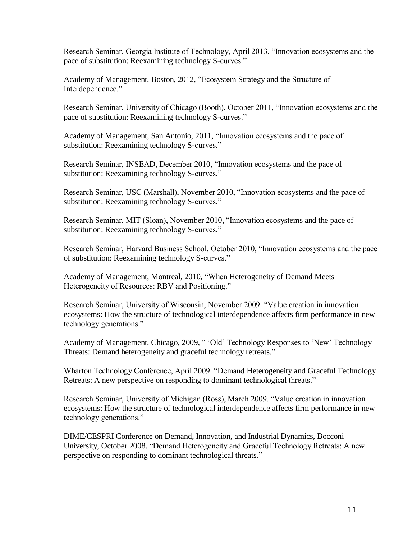Research Seminar, Georgia Institute of Technology, April 2013, "Innovation ecosystems and the pace of substitution: Reexamining technology S-curves."

Academy of Management, Boston, 2012, "Ecosystem Strategy and the Structure of Interdependence."

Research Seminar, University of Chicago (Booth), October 2011, "Innovation ecosystems and the pace of substitution: Reexamining technology S-curves."

Academy of Management, San Antonio, 2011, "Innovation ecosystems and the pace of substitution: Reexamining technology S-curves."

Research Seminar, INSEAD, December 2010, "Innovation ecosystems and the pace of substitution: Reexamining technology S-curves."

Research Seminar, USC (Marshall), November 2010, "Innovation ecosystems and the pace of substitution: Reexamining technology S-curves."

Research Seminar, MIT (Sloan), November 2010, "Innovation ecosystems and the pace of substitution: Reexamining technology S-curves."

Research Seminar, Harvard Business School, October 2010, "Innovation ecosystems and the pace of substitution: Reexamining technology S-curves."

Academy of Management, Montreal, 2010, "When Heterogeneity of Demand Meets Heterogeneity of Resources: RBV and Positioning."

Research Seminar, University of Wisconsin, November 2009. "Value creation in innovation ecosystems: How the structure of technological interdependence affects firm performance in new technology generations."

Academy of Management, Chicago, 2009, " 'Old' Technology Responses to 'New' Technology Threats: Demand heterogeneity and graceful technology retreats."

Wharton Technology Conference, April 2009. "Demand Heterogeneity and Graceful Technology Retreats: A new perspective on responding to dominant technological threats."

Research Seminar, University of Michigan (Ross), March 2009. "Value creation in innovation ecosystems: How the structure of technological interdependence affects firm performance in new technology generations."

DIME/CESPRI Conference on Demand, Innovation, and Industrial Dynamics, Bocconi University, October 2008. "Demand Heterogeneity and Graceful Technology Retreats: A new perspective on responding to dominant technological threats."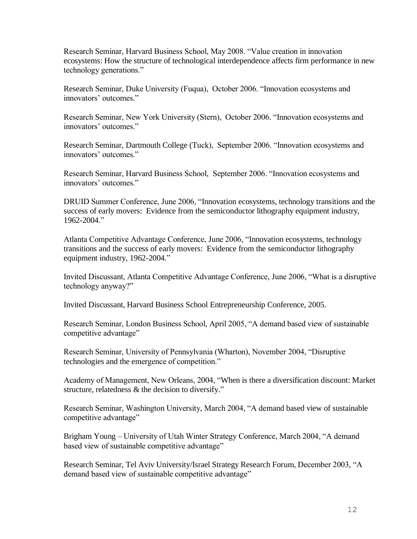Research Seminar, Harvard Business School, May 2008. "Value creation in innovation ecosystems: How the structure of technological interdependence affects firm performance in new technology generations."

Research Seminar, Duke University (Fuqua), October 2006. "Innovation ecosystems and innovators' outcomes."

Research Seminar, New York University (Stern), October 2006. "Innovation ecosystems and innovators' outcomes."

Research Seminar, Dartmouth College (Tuck), September 2006. "Innovation ecosystems and innovators' outcomes."

Research Seminar, Harvard Business School, September 2006. "Innovation ecosystems and innovators' outcomes."

DRUID Summer Conference, June 2006, "Innovation ecosystems, technology transitions and the success of early movers: Evidence from the semiconductor lithography equipment industry, 1962-2004."

Atlanta Competitive Advantage Conference, June 2006, "Innovation ecosystems, technology transitions and the success of early movers: Evidence from the semiconductor lithography equipment industry, 1962-2004."

Invited Discussant, Atlanta Competitive Advantage Conference, June 2006, "What is a disruptive technology anyway?"

Invited Discussant, Harvard Business School Entrepreneurship Conference, 2005.

Research Seminar, London Business School, April 2005, "A demand based view of sustainable competitive advantage"

Research Seminar, University of Pennsylvania (Wharton), November 2004, "Disruptive technologies and the emergence of competition."

Academy of Management, New Orleans, 2004, ["When is there a diversification discount: Market](http://program.aomonline.org/2004/submission.asp?mode=ShowSession&SessionID=607)  [structure, relatedness & the decision to diversify.](http://program.aomonline.org/2004/submission.asp?mode=ShowSession&SessionID=607)"

Research Seminar, Washington University, March 2004, "A demand based view of sustainable competitive advantage"

Brigham Young – University of Utah Winter Strategy Conference, March 2004, "A demand based view of sustainable competitive advantage"

Research Seminar, Tel Aviv University/Israel Strategy Research Forum, December 2003, "A demand based view of sustainable competitive advantage"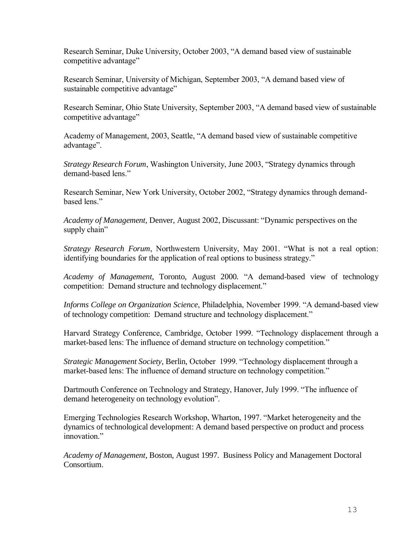Research Seminar, Duke University, October 2003, "A demand based view of sustainable competitive advantage"

Research Seminar, University of Michigan, September 2003, "A demand based view of sustainable competitive advantage"

Research Seminar, Ohio State University, September 2003, "A demand based view of sustainable competitive advantage"

Academy of Management, 2003, Seattle, "A demand based view of sustainable competitive advantage".

*Strategy Research Forum*, Washington University, June 2003, "Strategy dynamics through demand-based lens."

Research Seminar, New York University, October 2002, "Strategy dynamics through demandbased lens."

*Academy of Management,* Denver, August 2002, Discussant: "Dynamic perspectives on the supply chain"

*Strategy Research Forum*, Northwestern University, May 2001. "What is not a real option: identifying boundaries for the application of real options to business strategy."

*Academy of Management,* Toronto, August 2000. "A demand-based view of technology competition: Demand structure and technology displacement."

*Informs College on Organization Science*, Philadelphia, November 1999. "A demand-based view of technology competition: Demand structure and technology displacement."

Harvard Strategy Conference, Cambridge, October 1999. "Technology displacement through a market-based lens: The influence of demand structure on technology competition."

*Strategic Management Society,* Berlin, October 1999. "Technology displacement through a market-based lens: The influence of demand structure on technology competition."

Dartmouth Conference on Technology and Strategy, Hanover, July 1999. "The influence of demand heterogeneity on technology evolution".

Emerging Technologies Research Workshop, Wharton, 1997. "Market heterogeneity and the dynamics of technological development: A demand based perspective on product and process innovation."

*Academy of Management*, Boston, August 1997. Business Policy and Management Doctoral Consortium.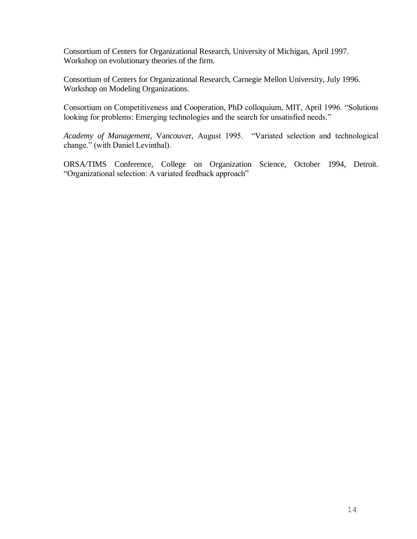Consortium of Centers for Organizational Research, University of Michigan, April 1997. Workshop on evolutionary theories of the firm.

Consortium of Centers for Organizational Research, Carnegie Mellon University, July 1996. Workshop on Modeling Organizations.

Consortium on Competitiveness and Cooperation, PhD colloquium, MIT, April 1996. "Solutions looking for problems: Emerging technologies and the search for unsatisfied needs."

*Academy of Management*, Vancouver, August 1995. "Variated selection and technological change." (with Daniel Levinthal).

ORSA/TIMS Conference, College on Organization Science, October 1994, Detroit. "Organizational selection: A variated feedback approach"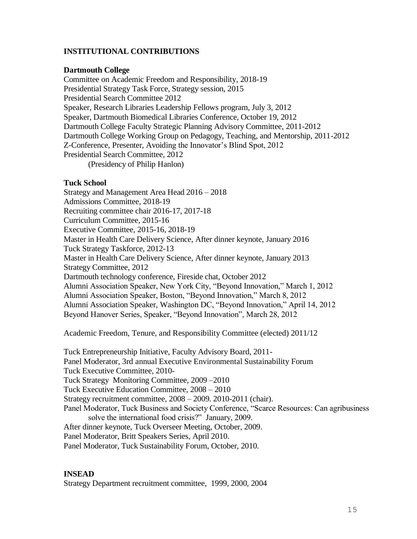# **INSTITUTIONAL CONTRIBUTIONS**

### **Dartmouth College**

Committee on Academic Freedom and Responsibility, 2018-19 Presidential Strategy Task Force, Strategy session, 2015 Presidential Search Committee 2012 Speaker, Research Libraries Leadership Fellows program, July 3, 2012 Speaker, Dartmouth Biomedical Libraries Conference, October 19, 2012 Dartmouth College Faculty Strategic Planning Advisory Committee, 2011-2012 Dartmouth College Working Group on Pedagogy, Teaching, and Mentorship, 2011-2012 Z-Conference, Presenter, Avoiding the Innovator's Blind Spot, 2012 Presidential Search Committee, 2012 (Presidency of Philip Hanlon)

### **Tuck School**

Strategy and Management Area Head 2016 – 2018 Admissions Committee, 2018-19 Recruiting committee chair 2016-17, 2017-18 Curriculum Committee, 2015-16 Executive Committee, 2015-16, 2018-19 Master in Health Care Delivery Science, After dinner keynote, January 2016 Tuck Strategy Taskforce, 2012-13 Master in Health Care Delivery Science, After dinner keynote, January 2013 Strategy Committee, 2012 Dartmouth technology conference, Fireside chat, October 2012 Alumni Association Speaker, New York City, "Beyond Innovation," March 1, 2012 Alumni Association Speaker, Boston, "Beyond Innovation," March 8, 2012 Alumni Association Speaker, Washington DC, "Beyond Innovation," April 14, 2012 Beyond Hanover Series, Speaker, "Beyond Innovation", March 28, 2012

Academic Freedom, Tenure, and Responsibility Committee (elected) 2011/12

Tuck Entrepreneurship Initiative, Faculty Advisory Board, 2011- Panel Moderator, 3rd annual Executive Environmental Sustainability Forum Tuck Executive Committee, 2010- Tuck Strategy Monitoring Committee, 2009 –2010 Tuck Executive Education Committee, 2008 – 2010 Strategy recruitment committee, 2008 – 2009. 2010-2011 (chair). Panel Moderator, Tuck Business and Society Conference, "Scarce Resources: Can agribusiness solve the international food crisis?" January, 2009. After dinner keynote, Tuck Overseer Meeting, October, 2009. Panel Moderator, Britt Speakers Series, April 2010. Panel Moderator, Tuck Sustainability Forum, October, 2010.

# **INSEAD**

Strategy Department recruitment committee, 1999, 2000, 2004